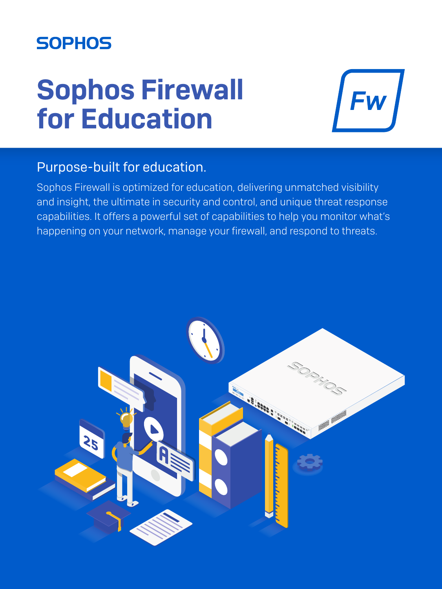# **SOPHOS**

# Sophos Firewall for Education

**Fw** 

## Purpose-built for education.

Sophos Firewall is optimized for education, delivering unmatched visibility and insight, the ultimate in security and control, and unique threat response capabilities. It offers a powerful set of capabilities to help you monitor what's happening on your network, manage your firewall, and respond to threats.

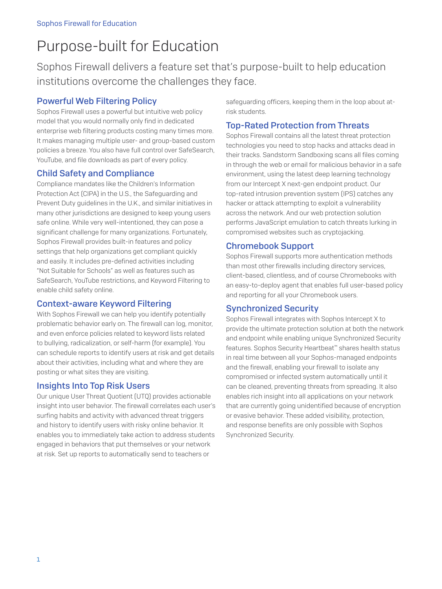# Purpose-built for Education

Sophos Firewall delivers a feature set that's purpose-built to help education institutions overcome the challenges they face.

#### Powerful Web Filtering Policy

Sophos Firewall uses a powerful but intuitive web policy model that you would normally only find in dedicated enterprise web filtering products costing many times more. It makes managing multiple user- and group-based custom policies a breeze. You also have full control over SafeSearch, YouTube, and file downloads as part of every policy.

#### Child Safety and Compliance

Compliance mandates like the Children's Information Protection Act (CIPA) in the U.S., the Safeguarding and Prevent Duty guidelines in the U.K., and similar initiatives in many other jurisdictions are designed to keep young users safe online. While very well-intentioned, they can pose a significant challenge for many organizations. Fortunately, Sophos Firewall provides built-in features and policy settings that help organizations get compliant quickly and easily. It includes pre-defined activities including "Not Suitable for Schools" as well as features such as SafeSearch, YouTube restrictions, and Keyword Filtering to enable child safety online.

#### Context-aware Keyword Filtering

With Sophos Firewall we can help you identify potentially problematic behavior early on. The firewall can log, monitor, and even enforce policies related to keyword lists related to bullying, radicalization, or self-harm (for example). You can schedule reports to identify users at risk and get details about their activities, including what and where they are posting or what sites they are visiting.

#### Insights Into Top Risk Users

Our unique User Threat Quotient (UTQ) provides actionable insight into user behavior. The firewall correlates each user's surfing habits and activity with advanced threat triggers and history to identify users with risky online behavior. It enables you to immediately take action to address students engaged in behaviors that put themselves or your network at risk. Set up reports to automatically send to teachers or

safeguarding officers, keeping them in the loop about atrisk students.

#### Top-Rated Protection from Threats

Sophos Firewall contains all the latest threat protection technologies you need to stop hacks and attacks dead in their tracks. Sandstorm Sandboxing scans all files coming in through the web or email for malicious behavior in a safe environment, using the latest deep learning technology from our Intercept X next-gen endpoint product. Our top-rated intrusion prevention system (IPS) catches any hacker or attack attempting to exploit a vulnerability across the network. And our web protection solution performs JavaScript emulation to catch threats lurking in compromised websites such as cryptojacking.

#### Chromebook Support

Sophos Firewall supports more authentication methods than most other firewalls including directory services, client-based, clientless, and of course Chromebooks with an easy-to-deploy agent that enables full user-based policy and reporting for all your Chromebook users.

#### Synchronized Security

Sophos Firewall integrates with Sophos Intercept X to provide the ultimate protection solution at both the network and endpoint while enabling unique Synchronized Security features. Sophos Security Heartbeat™ shares health status in real time between all your Sophos-managed endpoints and the firewall, enabling your firewall to isolate any compromised or infected system automatically until it can be cleaned, preventing threats from spreading. It also enables rich insight into all applications on your network that are currently going unidentified because of encryption or evasive behavior. These added visibility, protection, and response benefits are only possible with Sophos Synchronized Security.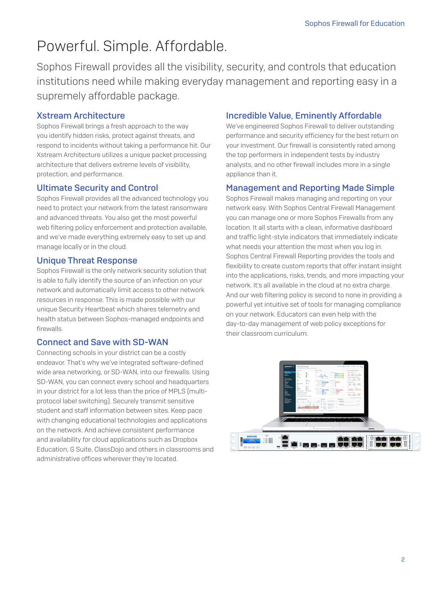## Powerful. Simple. Affordable.

Sophos Firewall provides all the visibility, security, and controls that education institutions need while making everyday management and reporting easy in a supremely affordable package.

#### Xstream Architecture

Sophos Firewall brings a fresh approach to the way you identify hidden risks, protect against threats, and respond to incidents without taking a performance hit. Our Xstream Architecture utilizes a unique packet processing architecture that delivers extreme levels of visibility, protection, and performance.

#### Ultimate Security and Control

Sophos Firewall provides all the advanced technology you need to protect your network from the latest ransomware and advanced threats. You also get the most powerful web filtering policy enforcement and protection available, and we've made everything extremely easy to set up and manage locally or in the cloud.

#### Unique Threat Response

Sophos Firewall is the only network security solution that is able to fully identify the source of an infection on your network and automatically limit access to other network resources in response. This is made possible with our unique Security Heartbeat which shares telemetry and health status between Sophos-managed endpoints and firewalls.

#### Connect and Save with SD-WAN

Connecting schools in your district can be a costly endeavor. That's why we've integrated software-defined wide area networking, or SD-WAN, into our firewalls. Using SD-WAN, you can connect every school and headquarters in your district for a lot less than the price of MPLS (multiprotocol label switching). Securely transmit sensitive student and staff information between sites. Keep pace with changing educational technologies and applications on the network. And achieve consistent performance and availability for cloud applications such as Dropbox Education, G Suite, ClassDojo and others in classrooms and administrative offices wherever they're located.

#### Incredible Value, Eminently Affordable

We've engineered Sophos Firewall to deliver outstanding performance and security efficiency for the best return on your investment. Our firewall is consistently rated among the top performers in independent tests by industry analysts, and no other firewall includes more in a single appliance than it.

#### Management and Reporting Made Simple

Sophos Firewall makes managing and reporting on your network easy. With Sophos Central Firewall Management you can manage one or more Sophos Firewalls from any location. It all starts with a clean, informative dashboard and traffic light-style indicators that immediately indicate what needs your attention the most when you log in. Sophos Central Firewall Reporting provides the tools and flexibility to create custom reports that offer instant insight into the applications, risks, trends, and more impacting your network. It's all available in the cloud at no extra charge. And our web filtering policy is second to none in providing a powerful yet intuitive set of tools for managing compliance on your network. Educators can even help with the day-to-day management of web policy exceptions for their classroom curriculum.